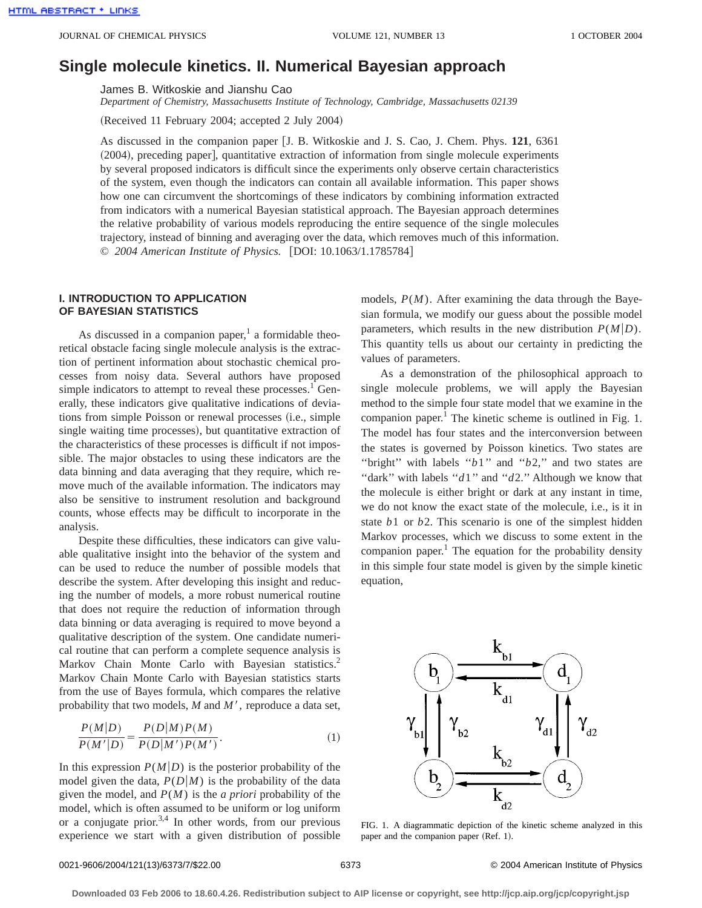# **Single molecule kinetics. II. Numerical Bayesian approach**

James B. Witkoskie and Jianshu Cao

*Department of Chemistry, Massachusetts Institute of Technology, Cambridge, Massachusetts 02139*

 $(Received 11 February 2004; accepted 2 July 2004)$ 

As discussed in the companion paper [J. B. Witkoskie and J. S. Cao, J. Chem. Phys. 121, 6361 (2004), preceding paper], quantitative extraction of information from single molecule experiments by several proposed indicators is difficult since the experiments only observe certain characteristics of the system, even though the indicators can contain all available information. This paper shows how one can circumvent the shortcomings of these indicators by combining information extracted from indicators with a numerical Bayesian statistical approach. The Bayesian approach determines the relative probability of various models reproducing the entire sequence of the single molecules trajectory, instead of binning and averaging over the data, which removes much of this information. © 2004 American Institute of Physics. [DOI: 10.1063/1.1785784]

## **I. INTRODUCTION TO APPLICATION OF BAYESIAN STATISTICS**

As discussed in a companion paper, $<sup>1</sup>$  a formidable theo-</sup> retical obstacle facing single molecule analysis is the extraction of pertinent information about stochastic chemical processes from noisy data. Several authors have proposed simple indicators to attempt to reveal these processes. $<sup>1</sup>$  Gen-</sup> erally, these indicators give qualitative indications of deviations from simple Poisson or renewal processes (i.e., simple single waiting time processes), but quantitative extraction of the characteristics of these processes is difficult if not impossible. The major obstacles to using these indicators are the data binning and data averaging that they require, which remove much of the available information. The indicators may also be sensitive to instrument resolution and background counts, whose effects may be difficult to incorporate in the analysis.

Despite these difficulties, these indicators can give valuable qualitative insight into the behavior of the system and can be used to reduce the number of possible models that describe the system. After developing this insight and reducing the number of models, a more robust numerical routine that does not require the reduction of information through data binning or data averaging is required to move beyond a qualitative description of the system. One candidate numerical routine that can perform a complete sequence analysis is Markov Chain Monte Carlo with Bayesian statistics.<sup>2</sup> Markov Chain Monte Carlo with Bayesian statistics starts from the use of Bayes formula, which compares the relative probability that two models, *M* and *M'*, reproduce a data set,

$$
\frac{P(M|D)}{P(M'|D)} = \frac{P(D|M)P(M)}{P(D|M')P(M')}.
$$
\n(1)

In this expression  $P(M|D)$  is the posterior probability of the model given the data,  $P(D|M)$  is the probability of the data given the model, and *P*(*M*) is the *a priori* probability of the model, which is often assumed to be uniform or log uniform or a conjugate prior.<sup>3,4</sup> In other words, from our previous experience we start with a given distribution of possible models,  $P(M)$ . After examining the data through the Bayesian formula, we modify our guess about the possible model parameters, which results in the new distribution  $P(M|D)$ . This quantity tells us about our certainty in predicting the values of parameters.

As a demonstration of the philosophical approach to single molecule problems, we will apply the Bayesian method to the simple four state model that we examine in the companion paper.<sup>1</sup> The kinetic scheme is outlined in Fig. 1. The model has four states and the interconversion between the states is governed by Poisson kinetics. Two states are "bright" with labels " $b1$ " and " $b2$ ," and two states are "dark" with labels "*d*1" and "*d*2." Although we know that the molecule is either bright or dark at any instant in time, we do not know the exact state of the molecule, i.e., is it in state *b*1 or *b*2. This scenario is one of the simplest hidden Markov processes, which we discuss to some extent in the companion paper.<sup>1</sup> The equation for the probability density in this simple four state model is given by the simple kinetic equation,



FIG. 1. A diagrammatic depiction of the kinetic scheme analyzed in this paper and the companion paper (Ref. 1).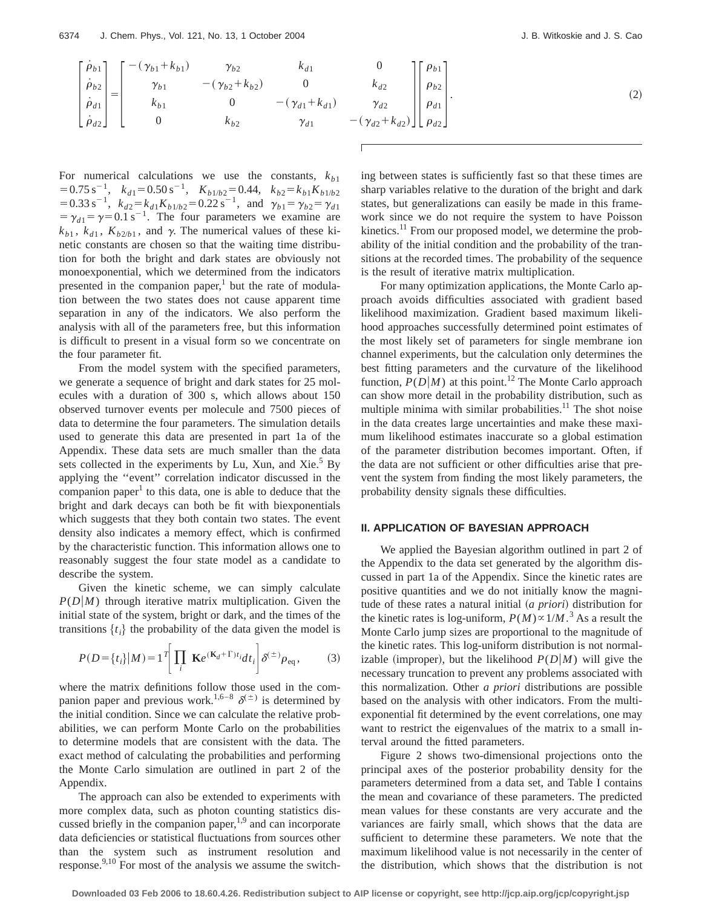$$
\begin{bmatrix} \dot{\rho}_{b1} \\ \dot{\rho}_{b2} \\ \dot{\rho}_{d1} \\ \dot{\rho}_{d2} \end{bmatrix} = \begin{bmatrix} -(\gamma_{b1} + k_{b1}) & \gamma_{b2} & k_{d1} & 0 \\ \gamma_{b1} & -(\gamma_{b2} + k_{b2}) & 0 & k_{d2} \\ k_{b1} & 0 & -(\gamma_{d1} + k_{d1}) & \gamma_{d2} \\ 0 & k_{b2} & \gamma_{d1} & -(\gamma_{d2} + k_{d2}) \end{bmatrix} \begin{bmatrix} \rho_{b1} \\ \rho_{b2} \\ \rho_{d1} \\ \rho_{d2} \end{bmatrix} .
$$
 (2)

For numerical calculations we use the constants,  $k_{b1}$  $50.75 \text{ s}^{-1}$ ,  $k_{d1} = 0.50 \text{ s}^{-1}$ ,  $K_{b1/b2} = 0.44$ ,  $k_{b2} = k_{b1} K_{b1/b2}$  $= 0.33 \text{ s}^{-1}$ ,  $k_{d2} = k_{d1} K_{b1/b2} = 0.22 \text{ s}^{-1}$ , and  $\gamma_{b1} = \gamma_{b2} = \gamma_{d1}$  $=\gamma_{d1}=\gamma=0.1 \text{ s}^{-1}$ . The four parameters we examine are  $k_{b1}$ ,  $k_{d1}$ ,  $K_{b2/b1}$ , and  $\gamma$ . The numerical values of these kinetic constants are chosen so that the waiting time distribution for both the bright and dark states are obviously not monoexponential, which we determined from the indicators presented in the companion paper, $\frac{1}{1}$  but the rate of modulation between the two states does not cause apparent time separation in any of the indicators. We also perform the analysis with all of the parameters free, but this information is difficult to present in a visual form so we concentrate on the four parameter fit.

From the model system with the specified parameters, we generate a sequence of bright and dark states for 25 molecules with a duration of 300 s, which allows about 150 observed turnover events per molecule and 7500 pieces of data to determine the four parameters. The simulation details used to generate this data are presented in part 1a of the Appendix. These data sets are much smaller than the data sets collected in the experiments by Lu, Xun, and Xie. $5$  By applying the ''event'' correlation indicator discussed in the companion paper<sup>1</sup> to this data, one is able to deduce that the bright and dark decays can both be fit with biexponentials which suggests that they both contain two states. The event density also indicates a memory effect, which is confirmed by the characteristic function. This information allows one to reasonably suggest the four state model as a candidate to describe the system.

Given the kinetic scheme, we can simply calculate  $P(D|M)$  through iterative matrix multiplication. Given the initial state of the system, bright or dark, and the times of the transitions  $\{t_i\}$  the probability of the data given the model is

$$
P(D = \{t_i\}|M) = 1^T \left[ \prod_i \mathbf{K}e^{(\mathbf{K}_d + \Gamma)t_i} dt_i \right] \delta^{(\pm)} \rho_{\text{eq}}, \tag{3}
$$

where the matrix definitions follow those used in the companion paper and previous work.<sup>1,6–8</sup>  $\delta^{(\pm)}$  is determined by the initial condition. Since we can calculate the relative probabilities, we can perform Monte Carlo on the probabilities to determine models that are consistent with the data. The exact method of calculating the probabilities and performing the Monte Carlo simulation are outlined in part 2 of the Appendix.

The approach can also be extended to experiments with more complex data, such as photon counting statistics discussed briefly in the companion paper, $1,9$  and can incorporate data deficiencies or statistical fluctuations from sources other than the system such as instrument resolution and response.<sup>9,10</sup> For most of the analysis we assume the switching between states is sufficiently fast so that these times are sharp variables relative to the duration of the bright and dark states, but generalizations can easily be made in this framework since we do not require the system to have Poisson kinetics.<sup>11</sup> From our proposed model, we determine the probability of the initial condition and the probability of the transitions at the recorded times. The probability of the sequence is the result of iterative matrix multiplication.

For many optimization applications, the Monte Carlo approach avoids difficulties associated with gradient based likelihood maximization. Gradient based maximum likelihood approaches successfully determined point estimates of the most likely set of parameters for single membrane ion channel experiments, but the calculation only determines the best fitting parameters and the curvature of the likelihood function,  $P(D|M)$  at this point.<sup>12</sup> The Monte Carlo approach can show more detail in the probability distribution, such as multiple minima with similar probabilities. $11$  The shot noise in the data creates large uncertainties and make these maximum likelihood estimates inaccurate so a global estimation of the parameter distribution becomes important. Often, if the data are not sufficient or other difficulties arise that prevent the system from finding the most likely parameters, the probability density signals these difficulties.

### **II. APPLICATION OF BAYESIAN APPROACH**

We applied the Bayesian algorithm outlined in part 2 of the Appendix to the data set generated by the algorithm discussed in part 1a of the Appendix. Since the kinetic rates are positive quantities and we do not initially know the magnitude of these rates a natural initial (*a priori*) distribution for the kinetic rates is log-uniform,  $P(M) \propto 1/M$ .<sup>3</sup> As a result the Monte Carlo jump sizes are proportional to the magnitude of the kinetic rates. This log-uniform distribution is not normalizable (improper), but the likelihood  $P(D|M)$  will give the necessary truncation to prevent any problems associated with this normalization. Other *a priori* distributions are possible based on the analysis with other indicators. From the multiexponential fit determined by the event correlations, one may want to restrict the eigenvalues of the matrix to a small interval around the fitted parameters.

Figure 2 shows two-dimensional projections onto the principal axes of the posterior probability density for the parameters determined from a data set, and Table I contains the mean and covariance of these parameters. The predicted mean values for these constants are very accurate and the variances are fairly small, which shows that the data are sufficient to determine these parameters. We note that the maximum likelihood value is not necessarily in the center of the distribution, which shows that the distribution is not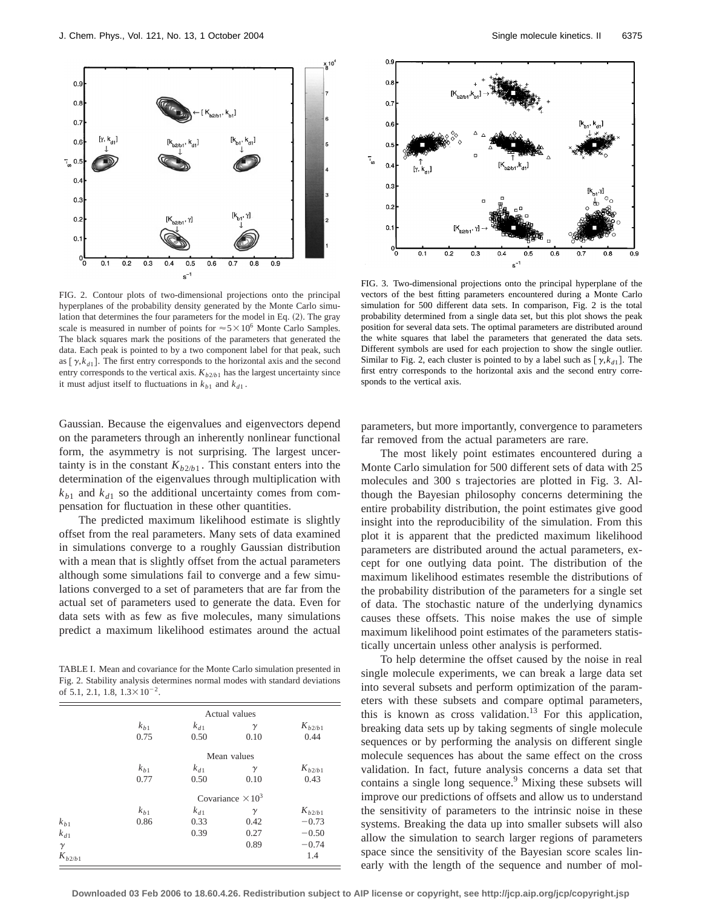

FIG. 2. Contour plots of two-dimensional projections onto the principal hyperplanes of the probability density generated by the Monte Carlo simulation that determines the four parameters for the model in Eq.  $(2)$ . The gray scale is measured in number of points for  $\approx 5 \times 10^6$  Monte Carlo Samples. The black squares mark the positions of the parameters that generated the data. Each peak is pointed to by a two component label for that peak, such as  $[\gamma, k_{d1}]$ . The first entry corresponds to the horizontal axis and the second entry corresponds to the vertical axis.  $K_{b2/b1}$  has the largest uncertainty since it must adjust itself to fluctuations in  $k_{b1}$  and  $k_{d1}$ .

Gaussian. Because the eigenvalues and eigenvectors depend on the parameters through an inherently nonlinear functional form, the asymmetry is not surprising. The largest uncertainty is in the constant  $K_{b2/b1}$ . This constant enters into the determination of the eigenvalues through multiplication with  $k_{b1}$  and  $k_{d1}$  so the additional uncertainty comes from compensation for fluctuation in these other quantities.

The predicted maximum likelihood estimate is slightly offset from the real parameters. Many sets of data examined in simulations converge to a roughly Gaussian distribution with a mean that is slightly offset from the actual parameters although some simulations fail to converge and a few simulations converged to a set of parameters that are far from the actual set of parameters used to generate the data. Even for data sets with as few as five molecules, many simulations predict a maximum likelihood estimates around the actual

TABLE I. Mean and covariance for the Monte Carlo simulation presented in Fig. 2. Stability analysis determines normal modes with standard deviations of 5.1, 2.1, 1.8,  $1.3 \times 10^{-2}$ .

|             |          |          | Actual values            |             |
|-------------|----------|----------|--------------------------|-------------|
|             | $k_{b1}$ | $k_{d1}$ | γ                        | $K_{b2/b1}$ |
|             | 0.75     | 0.50     | 0.10                     | 0.44        |
|             |          |          | Mean values              |             |
|             | $k_{b1}$ | $k_{d1}$ | γ                        | $K_{b2/b1}$ |
|             | 0.77     | 0.50     | 0.10                     | 0.43        |
|             |          |          | Covariance $\times 10^3$ |             |
|             | $k_{b1}$ | $k_{d1}$ | $\gamma$                 | $K_{b2/b1}$ |
| $k_{b1}$    | 0.86     | 0.33     | 0.42                     | $-0.73$     |
| $k_{d1}$    |          | 0.39     | 0.27                     | $-0.50$     |
| $\gamma$    |          |          | 0.89                     | $-0.74$     |
| $K_{b2/b1}$ |          |          |                          | 1.4         |



FIG. 3. Two-dimensional projections onto the principal hyperplane of the vectors of the best fitting parameters encountered during a Monte Carlo simulation for 500 different data sets. In comparison, Fig. 2 is the total probability determined from a single data set, but this plot shows the peak position for several data sets. The optimal parameters are distributed around the white squares that label the parameters that generated the data sets. Different symbols are used for each projection to show the single outlier. Similar to Fig. 2, each cluster is pointed to by a label such as  $[\gamma, k_{d1}]$ . The first entry corresponds to the horizontal axis and the second entry corresponds to the vertical axis.

parameters, but more importantly, convergence to parameters far removed from the actual parameters are rare.

The most likely point estimates encountered during a Monte Carlo simulation for 500 different sets of data with 25 molecules and 300 s trajectories are plotted in Fig. 3. Although the Bayesian philosophy concerns determining the entire probability distribution, the point estimates give good insight into the reproducibility of the simulation. From this plot it is apparent that the predicted maximum likelihood parameters are distributed around the actual parameters, except for one outlying data point. The distribution of the maximum likelihood estimates resemble the distributions of the probability distribution of the parameters for a single set of data. The stochastic nature of the underlying dynamics causes these offsets. This noise makes the use of simple maximum likelihood point estimates of the parameters statistically uncertain unless other analysis is performed.

To help determine the offset caused by the noise in real single molecule experiments, we can break a large data set into several subsets and perform optimization of the parameters with these subsets and compare optimal parameters, this is known as cross validation.<sup>13</sup> For this application, breaking data sets up by taking segments of single molecule sequences or by performing the analysis on different single molecule sequences has about the same effect on the cross validation. In fact, future analysis concerns a data set that contains a single long sequence.<sup>9</sup> Mixing these subsets will improve our predictions of offsets and allow us to understand the sensitivity of parameters to the intrinsic noise in these systems. Breaking the data up into smaller subsets will also allow the simulation to search larger regions of parameters space since the sensitivity of the Bayesian score scales linearly with the length of the sequence and number of mol-

**Downloaded 03 Feb 2006 to 18.60.4.26. Redistribution subject to AIP license or copyright, see http://jcp.aip.org/jcp/copyright.jsp**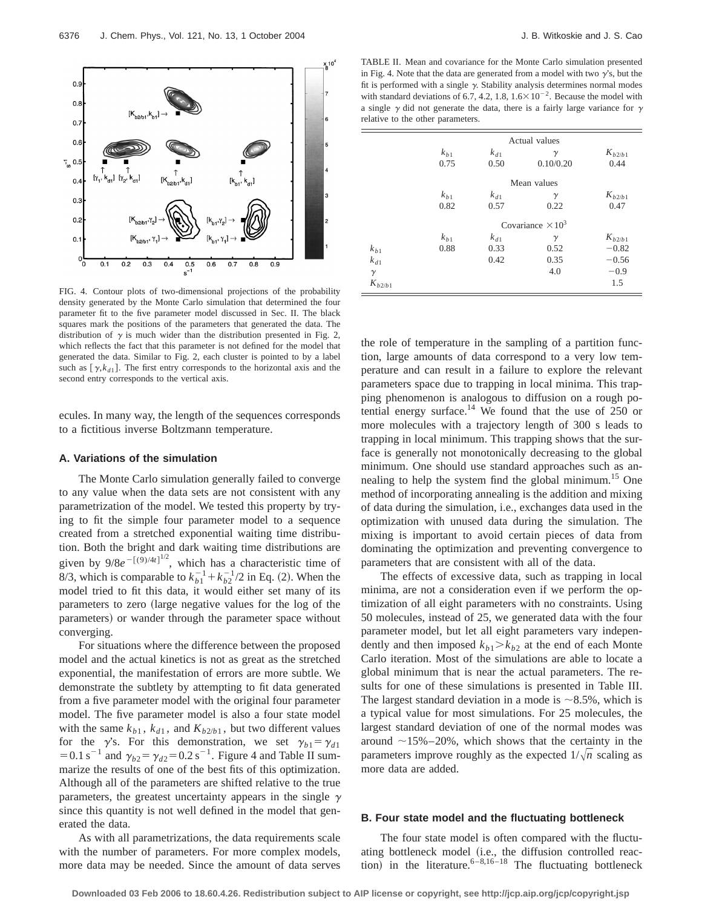6376 J. Chem. Phys., Vol. 121, No. 13, 1 October 2004 **J. B. Witkoskie and J. S. Cao** 



FIG. 4. Contour plots of two-dimensional projections of the probability density generated by the Monte Carlo simulation that determined the four parameter fit to the five parameter model discussed in Sec. II. The black squares mark the positions of the parameters that generated the data. The distribution of  $\gamma$  is much wider than the distribution presented in Fig. 2, which reflects the fact that this parameter is not defined for the model that generated the data. Similar to Fig. 2, each cluster is pointed to by a label such as  $[\gamma, k_{d1}]$ . The first entry corresponds to the horizontal axis and the second entry corresponds to the vertical axis.

ecules. In many way, the length of the sequences corresponds to a fictitious inverse Boltzmann temperature.

### **A. Variations of the simulation**

The Monte Carlo simulation generally failed to converge to any value when the data sets are not consistent with any parametrization of the model. We tested this property by trying to fit the simple four parameter model to a sequence created from a stretched exponential waiting time distribution. Both the bright and dark waiting time distributions are given by  $9/8e^{-[(9)/4t]^{1/2}}$ , which has a characteristic time of 8/3, which is comparable to  $k_{b1}^{-1} + k_{b2}^{-1}/2$  in Eq. (2). When the model tried to fit this data, it would either set many of its parameters to zero (large negative values for the log of the parameters) or wander through the parameter space without converging.

For situations where the difference between the proposed model and the actual kinetics is not as great as the stretched exponential, the manifestation of errors are more subtle. We demonstrate the subtlety by attempting to fit data generated from a five parameter model with the original four parameter model. The five parameter model is also a four state model with the same  $k_{b1}$ ,  $k_{d1}$ , and  $K_{b2/b1}$ , but two different values for the  $\gamma$ 's. For this demonstration, we set  $\gamma_{b1} = \gamma_{d1}$ = 0.1 s<sup>-1</sup> and  $\gamma_{b2} = \gamma_{d2} = 0.2$  s<sup>-1</sup>. Figure 4 and Table II summarize the results of one of the best fits of this optimization. Although all of the parameters are shifted relative to the true parameters, the greatest uncertainty appears in the single  $\gamma$ since this quantity is not well defined in the model that generated the data.

As with all parametrizations, the data requirements scale with the number of parameters. For more complex models, more data may be needed. Since the amount of data serves

TABLE II. Mean and covariance for the Monte Carlo simulation presented in Fig. 4. Note that the data are generated from a model with two  $\gamma$ 's, but the fit is performed with a single  $\gamma$ . Stability analysis determines normal modes with standard deviations of 6.7, 4.2, 1.8,  $1.6 \times 10^{-2}$ . Because the model with a single  $\gamma$  did not generate the data, there is a fairly large variance for  $\gamma$ relative to the other parameters.

|             | Actual values            |          |           |             |  |  |  |
|-------------|--------------------------|----------|-----------|-------------|--|--|--|
|             | $k_{h1}$                 | $k_{d1}$ | $\gamma$  | $K_{h2/h1}$ |  |  |  |
|             | 0.75                     | 0.50     | 0.10/0.20 | 0.44        |  |  |  |
|             | Mean values              |          |           |             |  |  |  |
|             | $k_{b1}$                 | $k_{d1}$ | $\gamma$  | $K_{h2/h1}$ |  |  |  |
|             | 0.82                     | 0.57     | 0.22      | 0.47        |  |  |  |
|             | Covariance $\times 10^3$ |          |           |             |  |  |  |
|             | $k_{b1}$                 | $k_{d1}$ | $\gamma$  | $K_{h2/h1}$ |  |  |  |
| $k_{b1}$    | 0.88                     | 0.33     | 0.52      | $-0.82$     |  |  |  |
| $k_{d1}$    |                          | 0.42     | 0.35      | $-0.56$     |  |  |  |
| $\gamma$    |                          |          | 4.0       | $-0.9$      |  |  |  |
| $K_{b2/b1}$ |                          |          |           | 1.5         |  |  |  |

the role of temperature in the sampling of a partition function, large amounts of data correspond to a very low temperature and can result in a failure to explore the relevant parameters space due to trapping in local minima. This trapping phenomenon is analogous to diffusion on a rough potential energy surface.<sup>14</sup> We found that the use of  $250$  or more molecules with a trajectory length of 300 s leads to trapping in local minimum. This trapping shows that the surface is generally not monotonically decreasing to the global minimum. One should use standard approaches such as annealing to help the system find the global minimum.<sup>15</sup> One method of incorporating annealing is the addition and mixing of data during the simulation, i.e., exchanges data used in the optimization with unused data during the simulation. The mixing is important to avoid certain pieces of data from dominating the optimization and preventing convergence to parameters that are consistent with all of the data.

The effects of excessive data, such as trapping in local minima, are not a consideration even if we perform the optimization of all eight parameters with no constraints. Using 50 molecules, instead of 25, we generated data with the four parameter model, but let all eight parameters vary independently and then imposed  $k_{b1} > k_{b2}$  at the end of each Monte Carlo iteration. Most of the simulations are able to locate a global minimum that is near the actual parameters. The results for one of these simulations is presented in Table III. The largest standard deviation in a mode is  $\sim$ 8.5%, which is a typical value for most simulations. For 25 molecules, the largest standard deviation of one of the normal modes was around  $\sim$ 15%–20%, which shows that the certainty in the parameters improve roughly as the expected  $1/\sqrt{n}$  scaling as more data are added.

#### **B. Four state model and the fluctuating bottleneck**

The four state model is often compared with the fluctuating bottleneck model (i.e., the diffusion controlled reaction) in the literature.<sup>6–8,16–18</sup> The fluctuating bottleneck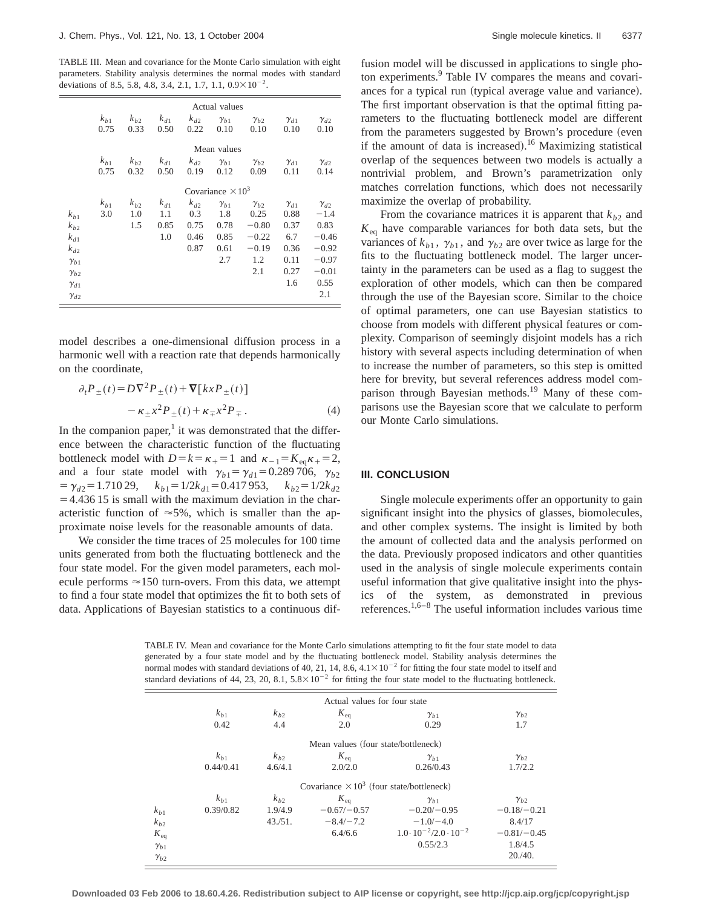TABLE III. Mean and covariance for the Monte Carlo simulation with eight parameters. Stability analysis determines the normal modes with standard deviations of 8.5, 5.8, 4.8, 3.4, 2.1, 1.7, 1.1,  $0.9 \times 10^{-2}$ .

|                                                                                                 |                          |                        |                                |                                         | Actual values                                       |                                                                      |                                                                     |                                                                                     |
|-------------------------------------------------------------------------------------------------|--------------------------|------------------------|--------------------------------|-----------------------------------------|-----------------------------------------------------|----------------------------------------------------------------------|---------------------------------------------------------------------|-------------------------------------------------------------------------------------|
|                                                                                                 | $k_{h1}$<br>0.75         | $k_{h2}$<br>0.33       | $k_{d1}$<br>0.50               | $k_{d2}$<br>0.22                        | $\gamma_{b1}$<br>0.10                               | $\gamma_{b2}$<br>0.10                                                | $\gamma_{d1}$<br>0.10                                               | $\gamma_{d2}$<br>0.10                                                               |
|                                                                                                 |                          |                        |                                |                                         | Mean values                                         |                                                                      |                                                                     |                                                                                     |
|                                                                                                 | $k_{h1}$<br>0.75         | $k_{b2}$<br>0.32       | $k_{d1}$<br>0.50               | $k_{d2}$<br>0.19                        | $\gamma_{b1}$<br>0.12                               | $\gamma_{b2}$<br>0.09                                                | $\gamma_{d1}$<br>0.11                                               | $\gamma_{d2}$<br>0.14                                                               |
|                                                                                                 | Covariance $\times 10^3$ |                        |                                |                                         |                                                     |                                                                      |                                                                     |                                                                                     |
| $k_{h1}$<br>$k_{h2}$<br>$k_{d1}$<br>$k_{d2}$<br>$\gamma_{b1}$<br>$\gamma_{h2}$<br>$\gamma_{d1}$ | $k_{b1}$<br>3.0          | $k_{h2}$<br>1.0<br>1.5 | $k_{d1}$<br>1.1<br>0.85<br>1.0 | $k_{d2}$<br>0.3<br>0.75<br>0.46<br>0.87 | $\gamma_{b1}$<br>1.8<br>0.78<br>0.85<br>0.61<br>2.7 | $\gamma_{b2}$<br>0.25<br>$-0.80$<br>$-0.22$<br>$-0.19$<br>1.2<br>2.1 | $\gamma_{d1}$<br>0.88<br>0.37<br>6.7<br>0.36<br>0.11<br>0.27<br>1.6 | $\gamma_{d2}$<br>$-1.4$<br>0.83<br>$-0.46$<br>$-0.92$<br>$-0.97$<br>$-0.01$<br>0.55 |
| $\gamma_{d2}$                                                                                   |                          |                        |                                |                                         |                                                     |                                                                      |                                                                     | 2.1                                                                                 |

model describes a one-dimensional diffusion process in a harmonic well with a reaction rate that depends harmonically on the coordinate,

$$
\partial_t P_{\pm}(t) = D \nabla^2 P_{\pm}(t) + \nabla [k x P_{\pm}(t)]
$$
  

$$
- \kappa_{\pm} x^2 P_{\pm}(t) + \kappa_{\mp} x^2 P_{\mp} .
$$
 (4)

In the companion paper, $\frac{1}{1}$  it was demonstrated that the difference between the characteristic function of the fluctuating bottleneck model with  $D=k=\kappa_{+}=1$  and  $\kappa_{-1}=K_{eq}\kappa_{+}=2$ , and a four state model with  $\gamma_{b1} = \gamma_{d1} = 0.289 \, 706$ ,  $\gamma_{b2}$  $= \gamma_{d2} = 1.710 29, \quad k_{b1} = 1/2k_{d1} = 0.417 953, \quad k_{b2} = 1/2k_{d2}$  $=4.436 15$  is small with the maximum deviation in the characteristic function of  $\approx 5\%$ , which is smaller than the approximate noise levels for the reasonable amounts of data.

We consider the time traces of 25 molecules for 100 time units generated from both the fluctuating bottleneck and the four state model. For the given model parameters, each molecule performs  $\approx$  150 turn-overs. From this data, we attempt to find a four state model that optimizes the fit to both sets of data. Applications of Bayesian statistics to a continuous diffusion model will be discussed in applications to single photon experiments.<sup>9</sup> Table IV compares the means and covariances for a typical run (typical average value and variance). The first important observation is that the optimal fitting parameters to the fluctuating bottleneck model are different from the parameters suggested by Brown's procedure (even if the amount of data is increased).<sup>16</sup> Maximizing statistical overlap of the sequences between two models is actually a nontrivial problem, and Brown's parametrization only matches correlation functions, which does not necessarily maximize the overlap of probability.

From the covariance matrices it is apparent that  $k_{b2}$  and  $K_{eq}$  have comparable variances for both data sets, but the variances of  $k_{b1}$ ,  $\gamma_{b1}$ , and  $\gamma_{b2}$  are over twice as large for the fits to the fluctuating bottleneck model. The larger uncertainty in the parameters can be used as a flag to suggest the exploration of other models, which can then be compared through the use of the Bayesian score. Similar to the choice of optimal parameters, one can use Bayesian statistics to choose from models with different physical features or complexity. Comparison of seemingly disjoint models has a rich history with several aspects including determination of when to increase the number of parameters, so this step is omitted here for brevity, but several references address model comparison through Bayesian methods.19 Many of these comparisons use the Bayesian score that we calculate to perform our Monte Carlo simulations.

#### **III. CONCLUSION**

Single molecule experiments offer an opportunity to gain significant insight into the physics of glasses, biomolecules, and other complex systems. The insight is limited by both the amount of collected data and the analysis performed on the data. Previously proposed indicators and other quantities used in the analysis of single molecule experiments contain useful information that give qualitative insight into the physics of the system, as demonstrated in previous references.1,6–8 The useful information includes various time

TABLE IV. Mean and covariance for the Monte Carlo simulations attempting to fit the four state model to data generated by a four state model and by the fluctuating bottleneck model. Stability analysis determines the normal modes with standard deviations of 40, 21, 14, 8.6,  $4.1 \times 10^{-2}$  for fitting the four state model to itself and standard deviations of 44, 23, 20, 8.1,  $5.8 \times 10^{-2}$  for fitting the four state model to the fluctuating bottleneck.

|                 |                                                  |          | Actual values for four state        |                                         |               |  |  |  |
|-----------------|--------------------------------------------------|----------|-------------------------------------|-----------------------------------------|---------------|--|--|--|
|                 | $k_{h1}$                                         | $k_{h2}$ | $K_{\text{eq}}$                     | $\gamma_{b1}$                           | $\gamma_{b2}$ |  |  |  |
|                 | 0.42                                             | 4.4      | 2.0                                 | 0.29                                    | 1.7           |  |  |  |
|                 |                                                  |          | Mean values (four state/bottleneck) |                                         |               |  |  |  |
|                 | $k_{h1}$                                         | $k_{h2}$ | $K_{\text{eq}}$                     | $\gamma_{b1}$                           | $\gamma_{b2}$ |  |  |  |
|                 | 0.44/0.41                                        | 4.6/4.1  | 2.0/2.0                             | 0.26/0.43                               | 1.7/2.2       |  |  |  |
|                 | Covariance $\times 10^3$ (four state/bottleneck) |          |                                     |                                         |               |  |  |  |
|                 | $k_{h1}$                                         | $k_{h2}$ | $K_{\text{eq}}$                     | $\gamma_{b1}$                           | $\gamma_{b2}$ |  |  |  |
| $k_{b1}$        | 0.39/0.82                                        | 1.9/4.9  | $-0.67/-0.57$                       | $-0.20 - 0.95$                          | $-0.18/-0.21$ |  |  |  |
| $k_{b2}$        |                                                  | 43./51.  | $-8.4/-7.2$                         | $-1.0/-4.0$                             | 8.4/17        |  |  |  |
| $K_{\text{eq}}$ |                                                  |          | 6.4/6.6                             | $1.0 \cdot 10^{-2} / 2.0 \cdot 10^{-2}$ | $-0.81/-0.45$ |  |  |  |
| $\gamma_{b1}$   |                                                  |          |                                     | 0.55/2.3                                | 1.8/4.5       |  |  |  |
| $\gamma_{b2}$   |                                                  |          |                                     |                                         | 20.40.        |  |  |  |
|                 |                                                  |          |                                     |                                         |               |  |  |  |

**Downloaded 03 Feb 2006 to 18.60.4.26. Redistribution subject to AIP license or copyright, see http://jcp.aip.org/jcp/copyright.jsp**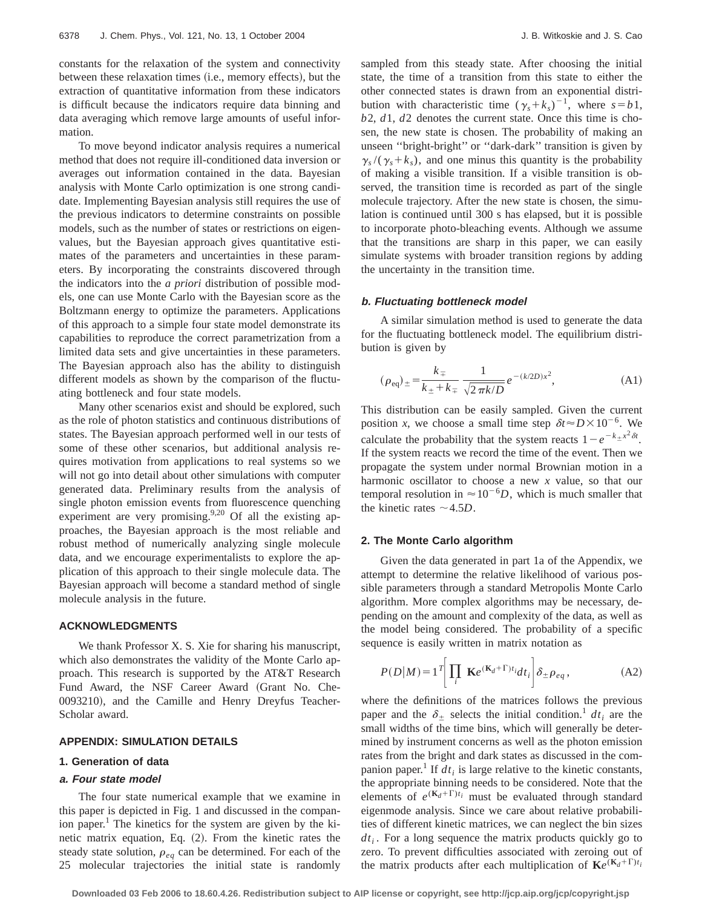constants for the relaxation of the system and connectivity between these relaxation times (*i.e.*, memory effects), but the extraction of quantitative information from these indicators is difficult because the indicators require data binning and data averaging which remove large amounts of useful information.

To move beyond indicator analysis requires a numerical method that does not require ill-conditioned data inversion or averages out information contained in the data. Bayesian analysis with Monte Carlo optimization is one strong candidate. Implementing Bayesian analysis still requires the use of the previous indicators to determine constraints on possible models, such as the number of states or restrictions on eigenvalues, but the Bayesian approach gives quantitative estimates of the parameters and uncertainties in these parameters. By incorporating the constraints discovered through the indicators into the *a priori* distribution of possible models, one can use Monte Carlo with the Bayesian score as the Boltzmann energy to optimize the parameters. Applications of this approach to a simple four state model demonstrate its capabilities to reproduce the correct parametrization from a limited data sets and give uncertainties in these parameters. The Bayesian approach also has the ability to distinguish different models as shown by the comparison of the fluctuating bottleneck and four state models.

Many other scenarios exist and should be explored, such as the role of photon statistics and continuous distributions of states. The Bayesian approach performed well in our tests of some of these other scenarios, but additional analysis requires motivation from applications to real systems so we will not go into detail about other simulations with computer generated data. Preliminary results from the analysis of single photon emission events from fluorescence quenching experiment are very promising. $9,20$  Of all the existing approaches, the Bayesian approach is the most reliable and robust method of numerically analyzing single molecule data, and we encourage experimentalists to explore the application of this approach to their single molecule data. The Bayesian approach will become a standard method of single molecule analysis in the future.

### **ACKNOWLEDGMENTS**

We thank Professor X. S. Xie for sharing his manuscript, which also demonstrates the validity of the Monte Carlo approach. This research is supported by the AT&T Research Fund Award, the NSF Career Award (Grant No. Che-0093210), and the Camille and Henry Dreyfus Teacher-Scholar award.

#### **APPENDIX: SIMULATION DETAILS**

# **1. Generation of data**

#### **a. Four state model**

The four state numerical example that we examine in this paper is depicted in Fig. 1 and discussed in the companion paper.<sup>1</sup> The kinetics for the system are given by the kinetic matrix equation, Eq. (2). From the kinetic rates the steady state solution,  $\rho_{eq}$  can be determined. For each of the 25 molecular trajectories the initial state is randomly sampled from this steady state. After choosing the initial state, the time of a transition from this state to either the other connected states is drawn from an exponential distribution with characteristic time  $(\gamma_s + k_s)^{-1}$ , where  $s = b_1$ , *b*2, *d*1, *d*2 denotes the current state. Once this time is chosen, the new state is chosen. The probability of making an unseen ''bright-bright'' or ''dark-dark'' transition is given by  $\gamma_s / (\gamma_s + k_s)$ , and one minus this quantity is the probability of making a visible transition. If a visible transition is observed, the transition time is recorded as part of the single molecule trajectory. After the new state is chosen, the simulation is continued until 300 s has elapsed, but it is possible to incorporate photo-bleaching events. Although we assume that the transitions are sharp in this paper, we can easily simulate systems with broader transition regions by adding the uncertainty in the transition time.

#### **b. Fluctuating bottleneck model**

A similar simulation method is used to generate the data for the fluctuating bottleneck model. The equilibrium distribution is given by

$$
(\rho_{\text{eq}})_{\pm} = \frac{k_{\mp}}{k_{\pm} + k_{\mp}} \frac{1}{\sqrt{2 \pi k/D}} e^{-(k/2D)x^2},
$$
 (A1)

This distribution can be easily sampled. Given the current position *x*, we choose a small time step  $\delta t \approx D \times 10^{-6}$ . We calculate the probability that the system reacts  $1-e^{-k}x^{2}\delta t$ . If the system reacts we record the time of the event. Then we propagate the system under normal Brownian motion in a harmonic oscillator to choose a new *x* value, so that our temporal resolution in  $\approx 10^{-6}D$ , which is much smaller that the kinetic rates  $\sim$  4.5*D*.

#### **2. The Monte Carlo algorithm**

Given the data generated in part 1a of the Appendix, we attempt to determine the relative likelihood of various possible parameters through a standard Metropolis Monte Carlo algorithm. More complex algorithms may be necessary, depending on the amount and complexity of the data, as well as the model being considered. The probability of a specific sequence is easily written in matrix notation as

$$
P(D|M) = 1^T \left[ \prod_i \mathbf{K} e^{(\mathbf{K}_d + \Gamma)t_i} dt_i \right] \delta_{\pm} \rho_{eq}, \tag{A2}
$$

where the definitions of the matrices follows the previous paper and the  $\delta_+$  selects the initial condition.<sup>1</sup> *dt<sub>i</sub>* are the small widths of the time bins, which will generally be determined by instrument concerns as well as the photon emission rates from the bright and dark states as discussed in the companion paper.<sup>1</sup> If  $dt_i$  is large relative to the kinetic constants, the appropriate binning needs to be considered. Note that the elements of  $e^{(K_d+\Gamma)t_i}$  must be evaluated through standard eigenmode analysis. Since we care about relative probabilities of different kinetic matrices, we can neglect the bin sizes  $dt_i$ . For a long sequence the matrix products quickly go to zero. To prevent difficulties associated with zeroing out of the matrix products after each multiplication of  $\mathbf{K}e^{(\mathbf{K}_d+\Gamma)t_i}$